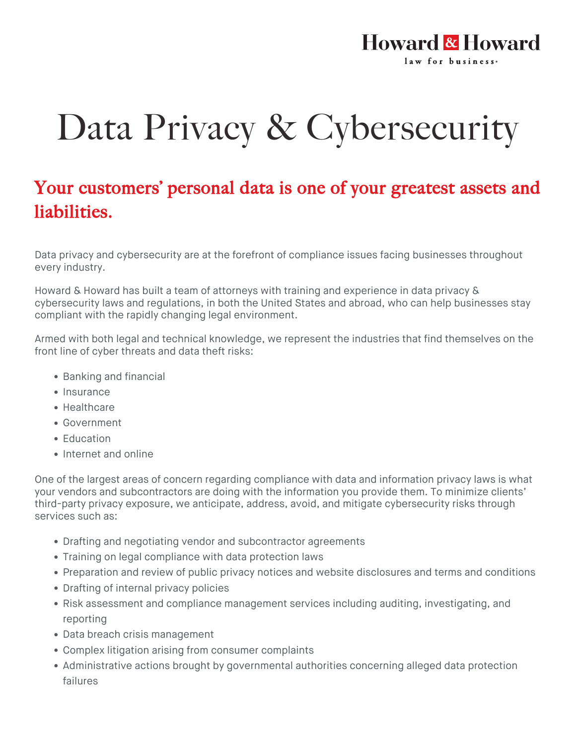## **Howard & Howard** law for business.

## Data Privacy & Cybersecurity

## Your customers' personal data is one of your greatest assets and liabilities.

Data privacy and cybersecurity are at the forefront of compliance issues facing businesses throughout every industry.

Howard & Howard has built a team of attorneys with training and experience in data privacy & cybersecurity laws and regulations, in both the United States and abroad, who can help businesses stay compliant with the rapidly changing legal environment.

Armed with both legal and technical knowledge, we represent the industries that find themselves on the front line of cyber threats and data theft risks:

- Banking and financial
- Insurance
- Healthcare
- Government
- Education
- Internet and online

One of the largest areas of concern regarding compliance with data and information privacy laws is what your vendors and subcontractors are doing with the information you provide them. To minimize clients' third-party privacy exposure, we anticipate, address, avoid, and mitigate cybersecurity risks through services such as:

- Drafting and negotiating vendor and subcontractor agreements
- Training on legal compliance with data protection laws
- Preparation and review of public privacy notices and website disclosures and terms and conditions
- Drafting of internal privacy policies
- Risk assessment and compliance management services including auditing, investigating, and reporting
- Data breach crisis management
- Complex litigation arising from consumer complaints
- Administrative actions brought by governmental authorities concerning alleged data protection failures